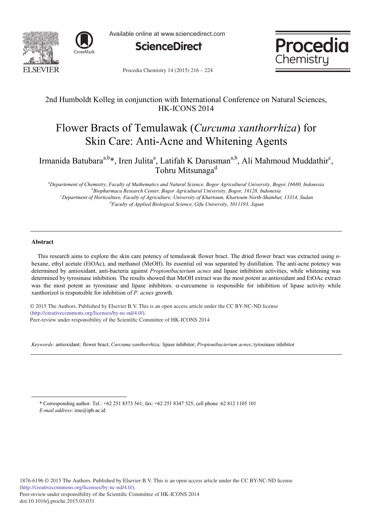



Available online at www.sciencedirect.com





Procedia Chemistry 14 (2015) 216 - 224

# 2nd Humboldt Kolleg in conjunction with International Conference on Natural Sciences, HK-ICONS 2014

# Flower Bracts of Temulawak (*Curcuma xanthorrhiza*) for Skin Care: Anti-Acne and Whitening Agents

Irmanida Batubara<sup>a,b\*</sup>, Iren Julita<sup>a</sup>, Latifah K Darusman<sup>a,b</sup>, Ali Mahmoud Muddathir<sup>c</sup>, Tohru Mitsunaga<sup>d</sup>

*<sup>a</sup>Departement of Chemistry, Faculty of Mathematics and Natural Science, Bogor Agricultural University, Bogor,16680, Indonesia <sup>b</sup>Biopharmaca Research Center, Bogor Agricultural University, Bogor, 16128, Indonesia <sup>c</sup>Department of Horticulture, Faculty of Agriculture, University of Khartoum, Khartoum North-Shambat, 13314, Sudan <sup>d</sup>Faculty of Applied Biological Science, Gifu University, 5011193, Japan*

# **Abstract**

-

 This research aims to explore the skin care potency of temulawak flower bract. The dried flower bract was extracted using *n*hexane, ethyl acetate (EtOAc), and methanol (MeOH). Its essential oil was separated by distillation. The anti-acne potency was determined by antioxidant, anti-bacteria against *Propionibacterium acnes* and lipase inhibition activities, while whitening was determined by tyrosinase inhibition. The results showed that MeOH extract was the most potent as antioxidant and EtOAc extract was the most potent as tyrosinase and lipase inhibitors.  $\alpha$ -curcumene is responsible for inhibition of lipase activity while xanthorizol is responsible for inhibition of *P. acnes* growth.

© 2015 The Authors. Published by Elsevier B.V. This is an open access article under the CC BY-NC-ND license (http://creativecommons.org/licenses/by-nc-nd/4.0/). Peer-review under responsibility of the Scientific Committee of HK-ICONS 2014

*Keywords:* antioxidant*;* flower bract; *Curcuma xanthorrhiza;* lipase inhibitor; *Propionibacterium acnes*; tyrosinase inhibitor

\* Corresponding author. Tel.: +62 251 8373 561; fax: +62 251 8347 525; cell phone :62 812 1105 101 *E-mail address*: ime@ipb.ac.id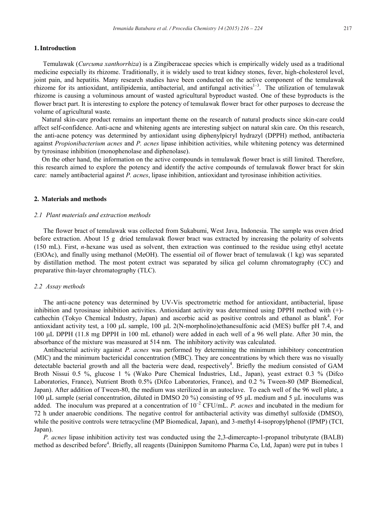# **1.Introduction**

Temulawak (*Curcuma xanthorrhiza*) is a Zingiberaceae species which is empirically widely used as a traditional medicine especially its rhizome. Traditionally, it is widely used to treat kidney stones, fever, high-cholesterol level, joint pain, and hepatitis. Many research studies have been conducted on the active component of the temulawak rhizome for its antioxidant, antilipidemia, antibacterial, and antifungal activities<sup>1-3</sup>. The utilization of temulawak rhizome is causing a voluminous amount of wasted agricultural byproduct wasted. One of these byproducts is the flower bract part. It is interesting to explore the potency of temulawak flower bract for other purposes to decrease the volume of agricultural waste.

Natural skin-care product remains an important theme on the research of natural products since skin-care could affect self-confidence. Anti-acne and whitening agents are interesting subject on natural skin care. On this research, the anti-acne potency was determined by antioxidant using diphenylpicryl hydrazyl (DPPH) method, antibacteria against *Propionibacterium acnes* and *P. acnes* lipase inhibition activities, while whitening potency was determined by tyrosinase inhibition (monophenolase and diphenolase).

On the other hand, the information on the active compounds in temulawak flower bract is still limited. Therefore, this research aimed to explore the potency and identify the active compounds of temulawak flower bract for skin care: namely antibacterial against *P. acnes*, lipase inhibition, antioxidant and tyrosinase inhibition activities.

#### **2. Materials and methods**

# *2.1 Plant materials and extraction methods*

The flower bract of temulawak was collected from Sukabumi, West Java, Indonesia. The sample was oven dried before extraction. About 15 g dried temulawak flower bract was extracted by increasing the polarity of solvents (150 mL). First, *n-*hexane was used as solvent, then extraction was continued to the residue using ethyl acetate (EtOAc), and finally using methanol (MeOH). The essential oil of flower bract of temulawak (1 kg) was separated by distillation method. The most potent extract was separated by silica gel column chromatography (CC) and preparative thin-layer chromatography (TLC).

#### *2.2 Assay methods*

The anti-acne potency was determined by UV-Vis spectrometric method for antioxidant, antibacterial, lipase inhibition and tyrosinase inhibition activities. Antioxidant activity was determined using DPPH method with (+) cathechin (Tokyo Chemical Industry, Japan) and ascorbic acid as positive controls and ethanol as blank<sup>4</sup>. For antioxidant activity test, a 100  $\mu$ L sample, 100  $\mu$ L 2(N-morpholino)ethanesulfonic acid (MES) buffer pH 7.4, and 100 µL DPPH (11.8 mg DPPH in 100 mL ethanol) were added in each well of a 96 well plate. After 30 min, the absorbance of the mixture was measured at 514 nm. The inhibitory activity was calculated.

Antibacterial activity against *P. acnes* was performed by determining the minimum inhibitory concentration (MIC) and the minimum bactericidal concentration (MBC). They are concentrations by which there was no visually detectable bacterial growth and all the bacteria were dead, respectively<sup>4</sup>. Briefly the medium consisted of GAM Broth Nissui 0.5 %, glucose 1 % (Wako Pure Chemical Industries, Ltd., Japan), yeast extract 0.3 % (Difco Laboratories, France), Nutrient Broth 0.5% (Difco Laboratories, France), and 0.2 % Tween-80 (MP Biomedical, Japan). After addition of Tween-80, the medium was sterilized in an autoclave. To each well of the 96 well plate, a 100  $\mu$ L sample (serial concentration, diluted in DMSO 20 %) consisting of 95  $\mu$ L medium and 5  $\mu$ L inoculums was added. The inoculum was prepared at a concentration of 10–<sup>2</sup> CFU/mL. *P. acnes* and incubated in the medium for 72 h under anaerobic conditions. The negative control for antibacterial activity was dimethyl sulfoxide (DMSO), while the positive controls were tetracycline (MP Biomedical, Japan), and 3-methyl 4-isopropylphenol (IPMP) (TCI, Japan).

*P. acnes* lipase inhibition activity test was conducted using the 2,3-dimercapto-1-propanol tributyrate (BALB) method as described before<sup>4</sup>. Briefly, all reagents (Dainippon Sumitomo Pharma Co, Ltd, Japan) were put in tubes 1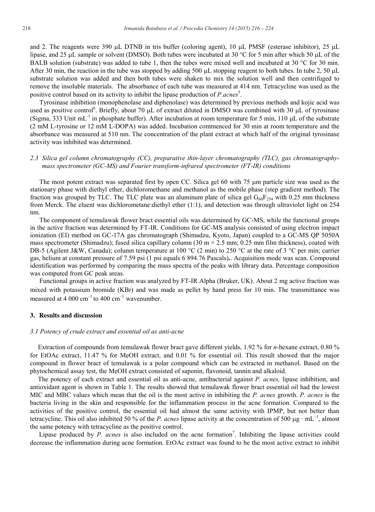and 2. The reagents were 390  $\mu$ L DTNB in tris buffer (coloring agent), 10  $\mu$ L PMSF (esterase inhibitor), 25  $\mu$ L lipase, and 25  $\mu$ L sample or solvent (DMSO). Both tubes were incubated at 30 °C for 5 min after which 50  $\mu$ L of the BALB solution (substrate) was added to tube 1, then the tubes were mixed well and incubated at 30 °C for 30 min. After 30 min, the reaction in the tube was stopped by adding 500  $\mu$ L stopping reagent to both tubes. In tube 2, 50  $\mu$ L substrate solution was added and then both tubes were shaken to mix the solution well and then centrifuged to remove the insoluble materials. The absorbance of each tube was measured at 414 nm. Tetracycline was used as the positive control based on its activity to inhibit the lipase production of *P.acnes*<sup>5</sup>.

Tyrosinase inhibition (monophenolase and diphenolase) was determined by previous methods and kojic acid was used as positive control<sup>6</sup>. Briefly, about 70  $\mu$ L of extract diluted in DMSO was combined with 30  $\mu$ L of tyrosinase (Sigma, 333 Unit  $mL^{-1}$  in phosphate buffer). After incubation at room temperature for 5 min, 110 µL of the substrate (2 mM L-tyrosine or 12 mM L-DOPA) was added. Incubation commenced for 30 min at room temperature and the absorbance was measured at 510 nm. The concentration of the plant extract at which half of the original tyrosinase activity was inhibited was determined.

# *2.3 Silica gel column chromatography (CC), preparative thin-layer chromatography (TLC), gas chromatographymass spectrometer (GC-MS) and Fourier transform-infrared spectrometer (FT-IR) conditions*

The most potent extract was separated first by open CC. Silica gel 60 with 75  $\mu$ m particle size was used as the stationary phase with diethyl ether, dichloromethane and methanol as the mobile phase (step gradient method). The fraction was grouped by TLC. The TLC plate was an aluminum plate of silica gel  $G_{60}F_{254}$  with 0.25 mm thickness from Merck. The eluent was dichlorometane:diethyl ether (1:1), and detection was through ultraviolet light on 254 nm.

The component of temulawak flower bract essential oils was determined by GC-MS, while the functional groups in the active fraction was determined by FT-IR. Conditions for GC-MS analysis consisted of using electron impact ionization (EI) method on GC-17A gas chromatograph (Shimadzu, Kyoto, Japan) coupled to a GC-MS QP 5050A mass spectrometer (Shimadzu); fused silica capillary column  $(30 \text{ m} \times 2.5 \text{ mm})$ ; 0.25 mm film thickness), coated with DB-5 (Agilent J&W, Canada); column temperature at 100 °C (2 min) to 250 °C at the rate of 3 °C per min; carrier gas, helium at constant pressure of 7.59 psi (1 psi equals 6 894.76 Pascals)**.**. Acquisition mode was scan. Compound identification was performed by comparing the mass spectra of the peaks with library data. Percentage composition was computed from GC peak areas.

Functional groups in active fraction was analyzed by FT-IR Alpha (Bruker, UK). About 2 mg active fraction was mixed with potassium bromide (KBr) and was made as pellet by hand press for 10 min. The transmittance was measured at 4 000  $cm^{-1}$  to 400  $cm^{-1}$  wavenumber.

#### **3. Results and discussion**

# *3.1 Potency of crude extract and essential oil as anti-acne*

Extraction of compounds from temulawak flower bract gave different yields, 1.92 % for *n-*hexane extract, 0.80 % for EtOAc extract, 11.47 % for MeOH extract, and 0.01 % for essential oil. This result showed that the major compound in flower bract of temulawak is a polar compound which can be extracted in methanol. Based on the phytochemical assay test, the MeOH extract consisted of saponin, flavonoid, tannin and alkaloid.

The potency of each extract and essential oil as anti-acne, antibacterial against *P. acnes,* lipase inhibition, and antioxidant agent is shown in Table 1. The results showed that temulawak flower bract essential oil had the lowest MIC and MBC values which mean that the oil is the most active in inhibiting the *P. acnes* growth. *P. acnes* is the bacteria living in the skin and responsible for the inflammation process in the acne formation. Compared to the activities of the positive control, the essential oil had almost the same activity with IPMP, but not better than tetracycline. This oil also inhibited 50 % of the *P. acnes* lipase activity at the concentration of 500  $\mu$ g · mL<sup>-1</sup>, almost the same potency with tetracycline as the positive control.

Lipase produced by *P. acnes* is also included on the acne formation<sup>7</sup>. Inhibiting the lipase activities could decrease the inflammation during acne formation. EtOAc extract was found to be the most active extract to inhibit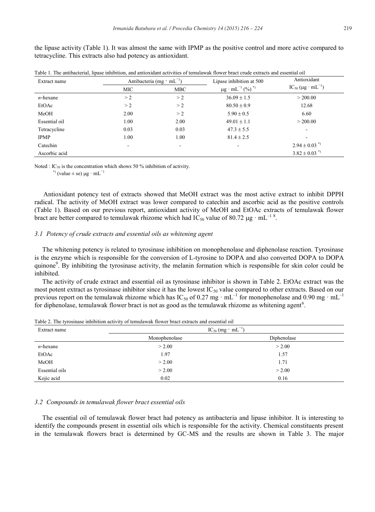the lipase activity (Table 1). It was almost the same with IPMP as the positive control and more active compared to tetracycline. This extracts also had potency as antioxidant.

| Extract name  | Antibacteria (mg · mL $^{-1}$ ) |      | Lipase inhibition at 500                     | Antioxidant                     |
|---------------|---------------------------------|------|----------------------------------------------|---------------------------------|
|               | MIC                             | MBC  | $\mu$ g · mL <sup>-1</sup> (%) <sup>*)</sup> | $IC_{50} (\mu g \cdot mL^{-1})$ |
| $n$ -hexane   | >2                              | >2   | $36.09 \pm 1.5$                              | > 200.00                        |
| EtOAc         | >2                              | >2   | $80.50 \pm 0.9$                              | 12.68                           |
| MeOH          | 2.00                            | > 2  | $5.90 \pm 0.5$                               | 6.60                            |
| Essential oil | 1.00                            | 2.00 | $49.01 \pm 1.1$                              | > 200.00                        |
| Tetracycline  | 0.03                            | 0.03 | $47.3 \pm 5.5$                               | ٠                               |
| <b>IPMP</b>   | 1.00                            | 1.00 | $81.4 \pm 2.5$                               | $\overline{\phantom{a}}$        |
| Catechin      | $\overline{\phantom{a}}$        |      |                                              | $2.94 \pm 0.03$ <sup>*</sup>    |
| Ascorbic acid |                                 |      |                                              | $3.82 \pm 0.03$ <sup>*</sup>    |

Table 1. The antibacterial, lipase inhibition, and antioxidant activities of temulawak flower bract crude extracts and essential oil

Noted : IC<sub>50</sub> is the concentration which shows 50 % inhibition of activity.

\*) (value  $\pm$  se)  $\mu$ g · mL<sup>-1</sup>

Antioxidant potency test of extracts showed that MeOH extract was the most active extract to inhibit DPPH radical. The activity of MeOH extract was lower compared to catechin and ascorbic acid as the positive controls (Table 1). Based on our previous report, antioxidant activity of MeOH and EtOAc extracts of temulawak flower bract are better compared to temulawak rhizome which had  $IC_{50}$  value of 80.72  $\mu$ g · mL<sup>-18</sup>.

# *3.1 Potency of crude extracts and essential oils as whitening agent*

The whitening potency is related to tyrosinase inhibition on monophenolase and diphenolase reaction. Tyrosinase is the enzyme which is responsible for the conversion of L-tyrosine to DOPA and also converted DOPA to DOPA quinone<sup>9</sup>. By inhibiting the tyrosinase activity, the melanin formation which is responsible for skin color could be inhibited.

The activity of crude extract and essential oil as tyrosinase inhibitor is shown in Table 2. EtOAc extract was the most potent extract as tyrosinase inhibitor since it has the lowest  $IC_{50}$  value compared to other extracts. Based on our previous report on the temulawak rhizome which has IC<sub>50</sub> of 0.27 mg · mL<sup>-1</sup> for monophenolase and 0.90 mg · mL<sup>-1</sup> for diphenolase, temulawak flower bract is not as good as the temulawak rhizome as whitening agent<sup>6</sup>.

Table 2. The tyrosinase inhibition activity of temulawak flower bract extracts and essential oil

| Extract name   | $IC_{50}$ (mg · mL <sup>-1</sup> ) |             |
|----------------|------------------------------------|-------------|
|                | Monophenolase                      | Diphenolase |
| $n$ -hexane    | > 2.00                             | > 2.00      |
| EtOAc          | 1.97                               | 1.57        |
| MeOH           | > 2.00                             | 1.71        |
| Essential oils | > 2.00                             | > 2.00      |
| Kojic acid     | 0.02                               | 0.16        |

#### *3.2 Compounds in temulawak flower bract essential oils*

The essential oil of temulawak flower bract had potency as antibacteria and lipase inhibitor. It is interesting to identify the compounds present in essential oils which is responsible for the activity. Chemical constituents present in the temulawak flowers bract is determined by GC*-*MS and the results are shown in Table 3. The major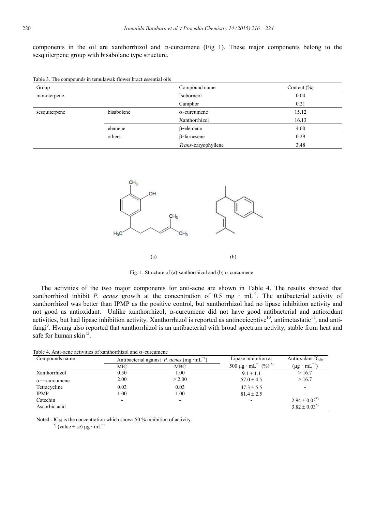components in the oil are xanthorrhizol and  $\alpha$ -curcumene (Fig 1). These major components belong to the sesquiterpene group with bisabolane type structure.

Table 3. The compounds in temulawak flower bract essential oils

| Group         |            | Compound name       | Content $(\% )$ |
|---------------|------------|---------------------|-----------------|
| monoterpene   |            | Isoborneol          | 0.04            |
|               |            | Camphor             | 0.21            |
| sesquiterpene | bisabolene | $\alpha$ -curcumene | 15.12           |
|               |            | Xanthorrhizol       | 16.13           |
|               | elemene    | B-elemene           | 4.60            |
|               | others     | $\beta$ -farnesene  | 0.29            |
|               |            | Trans-caryophyllene | 3.48            |



Fig. 1. Structure of (a) xanthorrhizol and (b)  $\alpha$ -curcumene

The activities of the two major components for anti-acne are shown in Table 4. The results showed that xanthorrhizol inhibit *P. acnes* growth at the concentration of 0.5 mg  $\cdot$  mL<sup>-1</sup>. The antibacterial activity of xanthorrhizol was better than IPMP as the positive control, but xanthorrhizol had no lipase inhibition activity and not good as antioxidant. Unlike xanthorrhizol, c*-*curcumene did not have good antibacterial and antioxidant activities, but had lipase inhibition activity. Xanthorrhizol is reported as antinociceptive<sup>10</sup>, antimetastatic<sup>11</sup>, and antifungi<sup>3</sup>. Hwang also reported that xanthorrhizol is an antibacterial with broad spectrum activity, stable from heat and safe for human skin $^{12}$ .

| Table 4. Anti-acne activities of xanthorrhizol and $\alpha$ -curcumene |  |  |
|------------------------------------------------------------------------|--|--|
|------------------------------------------------------------------------|--|--|

| Compounds name      | Antibacterial against P. acnes (mg $ mL^{-1}$ ) |        | Lipase inhibition at                        | Antioxidant $IC_{50}$   |
|---------------------|-------------------------------------------------|--------|---------------------------------------------|-------------------------|
|                     | МIС                                             | MBC    | 500 µg · mL <sup>-1</sup> (%) <sup>*)</sup> | $(\mu g \cdot mL^{-1})$ |
| Xanthorrhizol       | 0.50                                            | 1.00   | $9.1 + 1.1$                                 | >16.7                   |
| $\alpha$ —curcumene | 2.00                                            | > 2.00 | $57.0 \pm 4.5$                              | >16.7                   |
| Tetracycline        | 0.03                                            | 0.03   | $47.3 \pm 5.5$                              |                         |
| <b>IPMP</b>         | 1.00                                            | 1.00   | $81.4 + 2.5$                                |                         |
| Catechin            | -                                               | -      | ۰                                           | $2.94 \pm 0.03^{*}$     |
| Ascorbic acid       |                                                 |        |                                             | $3.82 \pm 0.03^{*}$     |

Noted :  $IC_{50}$  is the concentration which shows 50 % inhibition of activity. \*) (value  $\pm$  se)  $\mu$ g · mL<sup>-1</sup>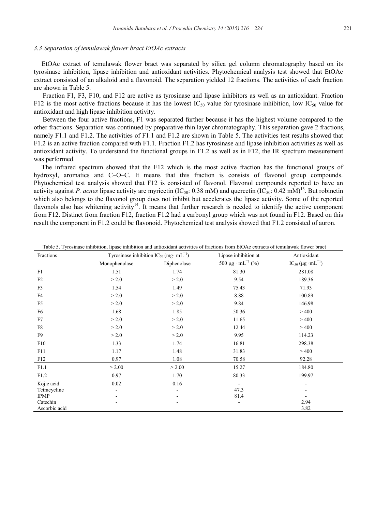# *3.3 Separation of temulawak flower bract EtOAc extracts*

EtOAc extract of temulawak flower bract was separated by silica gel column chromatography based on its tyrosinase inhibition, lipase inhibition and antioxidant activities. Phytochemical analysis test showed that EtOAc extract consisted of an alkaloid and a flavonoid. The separation yielded 12 fractions. The activities of each fraction are shown in Table 5.

Fraction F1, F3, F10, and F12 are active as tyrosinase and lipase inhibitors as well as an antioxidant. Fraction F12 is the most active fractions because it has the lowest  $IC_{50}$  value for tyrosinase inhibition, low  $IC_{50}$  value for antioxidant and high lipase inhibition activity.

Between the four active fractions, F1 was separated further because it has the highest volume compared to the other fractions. Separation was continued by preparative thin layer chromatography. This separation gave 2 fractions, namely F1.1 and F1.2. The activities of F1.1 and F1.2 are shown in Table 5. The activities test results showed that F1.2 is an active fraction compared with F1.1. Fraction F1.2 has tyrosinase and lipase inhibition activities as well as antioxidant activity. To understand the functional groups in F1.2 as well as in F12, the IR spectrum measurement was performed.

The infrared spectrum showed that the F12 which is the most active fraction has the functional groups of hydroxyl, aromatics and C–O–C. It means that this fraction is consists of flavonol group compounds. Phytochemical test analysis showed that F12 is consisted of flavonol. Flavonol compounds reported to have an activity against *P. acnes* lipase activity are myricetin  $(IC_{50}$ : 0.38 mM) and quercetin  $(IC_{50}$ : 0.42 mM)<sup>13</sup>. But robinetin which also belongs to the flavonol group does not inhibit but accelerates the lipase activity. Some of the reported flavonols also has whitening activity<sup>14</sup>. It means that further research is needed to identify the active component from F12. Distinct from fraction F12, fraction F1.2 had a carbonyl group which was not found in F12. Based on this result the component in F1.2 could be flavonoid. Phytochemical test analysis showed that F1.2 consisted of auron.

| Fractions     | Tyrosinase inhibition $IC_{50}$ (mg·mL <sup>-1</sup> ) |             | Lipase inhibition at               | Antioxidant                     |
|---------------|--------------------------------------------------------|-------------|------------------------------------|---------------------------------|
|               | Monophenolase                                          | Diphenolase | 500 $\mu$ g · mL <sup>-1</sup> (%) | $IC_{50} (\mu g \cdot mL^{-1})$ |
| F1            | 1.51                                                   | 1.74        | 81.30                              | 281.08                          |
| F2            | > 2.0                                                  | > 2.0       | 9.54                               | 189.36                          |
| F3            | 1.54                                                   | 1.49        | 75.43                              | 71.93                           |
| F4            | > 2.0                                                  | > 2.0       | 8.88                               | 100.89                          |
| F5            | > 2.0                                                  | > 2.0       | 9.84                               | 146.98                          |
| F6            | 1.68                                                   | 1.85        | 50.36                              | >400                            |
| F7            | > 2.0                                                  | > 2.0       | 11.65                              | >400                            |
| F8            | > 2.0                                                  | > 2.0       | 12.44                              | >400                            |
| F9            | > 2.0                                                  | > 2.0       | 9.95                               | 114.23                          |
| F10           | 1.33                                                   | 1.74        | 16.81                              | 298.38                          |
| F11           | 1.17                                                   | 1.48        | 31.83                              | >400                            |
| F12           | 0.97                                                   | 1.08        | 70.58                              | 92.28                           |
| F1.1          | > 2.00                                                 | > 2.00      | 15.27                              | 184.80                          |
| F1.2          | 0.97                                                   | 1.70        | 80.33                              | 199.97                          |
| Kojic acid    | 0.02                                                   | 0.16        | $\overline{\phantom{a}}$           |                                 |
| Tetracycline  |                                                        | ٠           | 47.3                               |                                 |
| <b>IPMP</b>   |                                                        |             | 81.4                               |                                 |
| Catechin      |                                                        |             | $\overline{a}$                     | 2.94                            |
| Ascorbic acid |                                                        |             |                                    | 3.82                            |

Table 5. Tyrosinase inhibition, lipase inhibition and antioxidant activities of fractions from EtOAc extracts of temulawak flower bract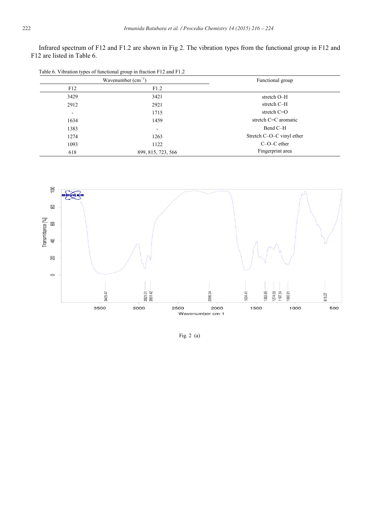Infrared spectrum of F12 and F1.2 are shown in Fig 2. The vibration types from the functional group in F12 and F12 are listed in Table 6.

| Table 6. Vibration types of functional group in fraction F12 and F1.2 |                          |                           |  |
|-----------------------------------------------------------------------|--------------------------|---------------------------|--|
| Wavenumber $(cm-1)$                                                   |                          | Functional group          |  |
| F12                                                                   | F1.2                     |                           |  |
| 3429                                                                  | 3421                     | stretch O-H               |  |
| 2912                                                                  | 2921                     | stretch C-H               |  |
| $\overline{\phantom{a}}$                                              | 1715                     | stretch $C=O$             |  |
| 1634                                                                  | 1459                     | stretch C=C aromatic      |  |
| 1383                                                                  | $\overline{\phantom{0}}$ | Bend C-H                  |  |
| 1274                                                                  | 1263                     | Stretch C-O-C vinyl ether |  |
| 1093                                                                  | 1122                     | $C-O-C$ ether             |  |
| 618                                                                   | 899, 815, 723, 566       | Fingerprint area          |  |



Fig. 2 (a)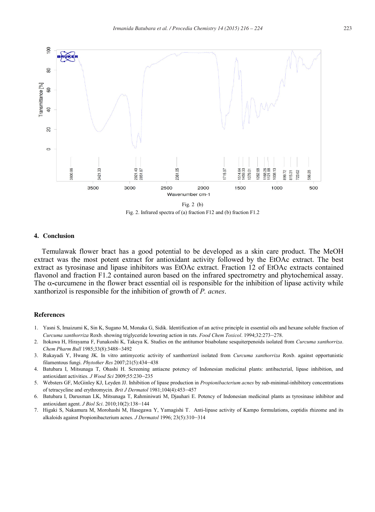

Fig. 2 (b) Fig. 2. Infrared spectra of (a) fraction F12 and (b) fraction F1.2

# **4. Conclusion**

Temulawak flower bract has a good potential to be developed as a skin care product. The MeOH extract was the most potent extract for antioxidant activity followed by the EtOAc extract. The best extract as tyrosinase and lipase inhibitors was EtOAc extract. Fraction 12 of EtOAc extracts contained flavonol and fraction F1.2 contained auron based on the infrared spectrometry and phytochemical assay. The  $\alpha$ -curcumene in the flower bract essential oil is responsible for the inhibition of lipase activity while xanthorizol is responsible for the inhibition of growth of *P. acnes*.

# **References**

- 1. Yasni S, Imaizumi K, Sin K, Sugano M, Monaka G, Sidik. Identification of an active principle in essential oils and hexane soluble fraction of *Curcuma xanthorriza* Roxb. showing triglyceride lowering action in rats. *Food Chem Toxicol*. 1994;32:273–278.
- 2. Itokawa H, Hirayama F, Funakoshi K, Takeya K. Studies on the antitumor bisabolane sesquiterpenoids isolated from *Curcuma xanthorriza*. *Chem Pharm Bull* 1985;33(8):3488–<sup>3492</sup>
- 3. Rukayadi Y, Hwang JK. In vitro antimycotic activity of xanthorrizol isolated from *Curcuma xanthorriza* Roxb. against opportunistic filamentous fungi. *Phytother Res* 2007;21(5):434–<sup>438</sup>
- 4. Batubara I, Mitsunaga T, Ohashi H. Screening antiacne potency of Indonesian medicinal plants: antibacterial, lipase inhibition, and antioxidant activities. *J Wood Sci* 2009;55:230–<sup>235</sup>
- 5. Websters GF, McGinley KJ, Leyden JJ. Inhibition of lipase production in *Propionibacterium acnes* by sub-minimal-inhibitory concentrations of tetracycline and erythromycin. *Brit J Dermatol* 1981;104(4):453–<sup>457</sup>
- 6. Batubara I, Darusman LK, Mitsunaga T, Rahminiwati M, Djauhari E. Potency of Indonesian medicinal plants as tyrosinase inhibitor and antioxidant agent. *J Biol Sci*. 2010;10(2):138–<sup>144</sup>
- 7. Higaki S, Nakamura M, Morohashi M, Hasegawa Y, Yamagishi T. Anti-lipase activity of Kampo formulations, coptidis rhizome and its alkaloids against Propionibacterium acnes. *J Dermatol* 1996; 23(5):310–<sup>314</sup>